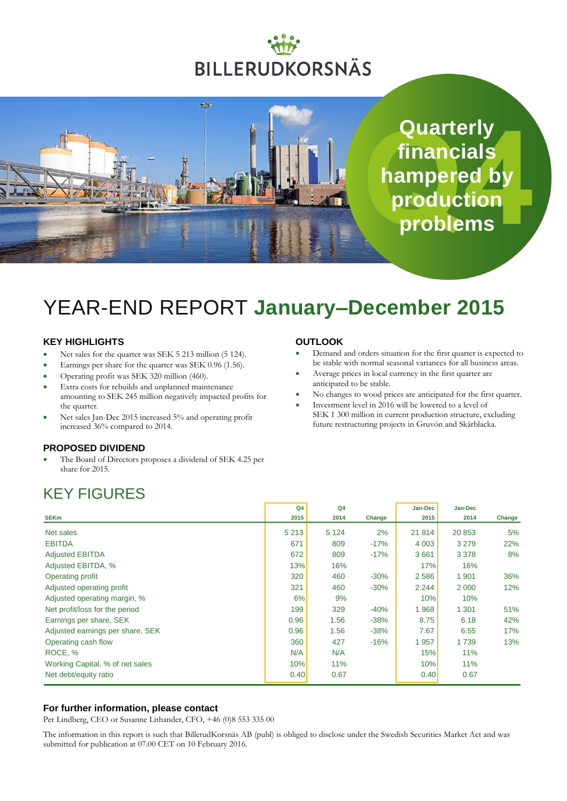# BILLERUDKORSNÄS

**SR** 

**Quarterly financials hampered by production problems**

# YEAR-END REPORT **January–December 2015**

#### **KEY HIGHLIGHTS**

- Net sales for the quarter was SEK 5 213 million (5 124).
- Earnings per share for the quarter was SEK 0.96 (1.56).
- Operating profit was SEK 320 million (460).
- Extra costs for rebuilds and unplanned maintenance amounting to SEK 245 million negatively impacted profits for the quarter.
- Net sales Jan-Dec 2015 increased 5% and operating profit increased 36% compared to 2014.

#### **PROPOSED DIVIDEND**

 The Board of Directors proposes a dividend of SEK 4.25 per share for 2015.

### KEY FIGURES

| <b>OUTLOOK</b> |  |
|----------------|--|
|----------------|--|

- Demand and orders situation for the first quarter is expected to be stable with normal seasonal variances for all business areas.
- Average prices in local currency in the first quarter are anticipated to be stable.
- No changes to wood prices are anticipated for the first quarter.
- Investment level in 2016 will be lowered to a level of SEK 1 300 million in current production structure, excluding future restructuring projects in Gruvön and Skärblacka.

|                                  | Q <sub>4</sub> | Q <sub>4</sub> |        | Jan-Dec | Jan-Dec |        |
|----------------------------------|----------------|----------------|--------|---------|---------|--------|
| <b>SEKm</b>                      | 2015           | 2014           | Change | 2015    | 2014    | Change |
| Net sales                        | 5 2 1 3        | 5 1 2 4        | 2%     | 21 814  | 20 853  | 5%     |
| <b>EBITDA</b>                    | 671            | 809            | $-17%$ | 4 0 0 3 | 3 2 7 9 | 22%    |
| <b>Adjusted EBITDA</b>           | 672            | 809            | $-17%$ | 3661    | 3 3 7 8 | 8%     |
| Adjusted EBITDA, %               | 13%            | 16%            |        | 17%     | 16%     |        |
| Operating profit                 | 320            | 460            | $-30%$ | 2586    | 1 901   | 36%    |
| Adjusted operating profit        | 321            | 460            | $-30%$ | 2 2 4 4 | 2 0 0 0 | 12%    |
| Adjusted operating margin, %     | 6%             | 9%             |        | 10%     | 10%     |        |
| Net profit/loss for the period   | 199            | 329            | $-40%$ | 1968    | 1 301   | 51%    |
| Earnings per share, SEK          | 0.96           | 1.56           | $-38%$ | 8.75    | 6.18    | 42%    |
| Adjusted earnings per share, SEK | 0.96           | 1.56           | $-38%$ | 7.67    | 6.55    | 17%    |
| Operating cash flow              | 360            | 427            | $-16%$ | 1957    | 1739    | 13%    |
| ROCE, %                          | N/A            | N/A            |        | 15%     | 11%     |        |
| Working Capital, % of net sales  | 10%            | 11%            |        | 10%     | 11%     |        |
| Net debt/equity ratio            | 0.40           | 0.67           |        | 0.40    | 0.67    |        |

#### **For further information, please contact**

Per Lindberg, CEO or Susanne Lithander, CFO, +46 (0)8 553 335 00

The information in this report is such that BillerudKorsnäs AB (publ) is obliged to disclose under the Swedish Securities Market Act and was submitted for publication at 07.00 CET on 10 February 2016.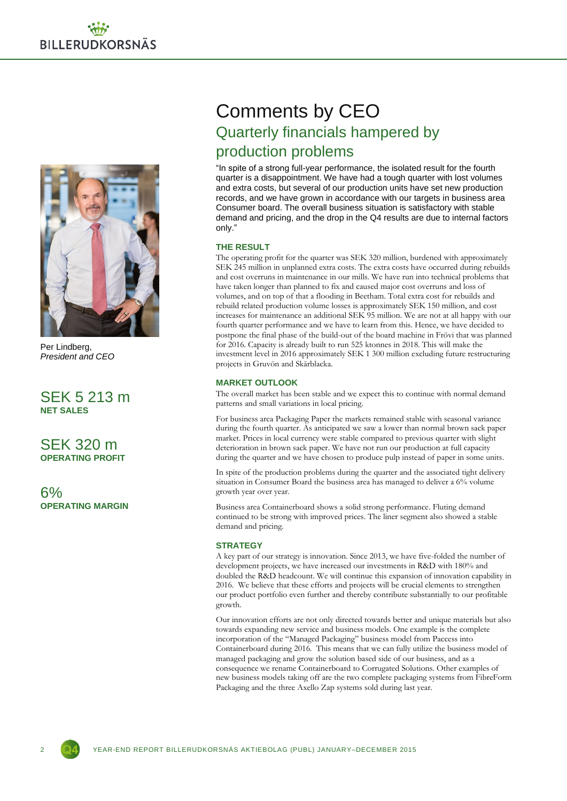

Per Lindberg, *President and CEO*

SEK 5 213 m **NET SALES**

SEK 320 m **OPERATING PROFIT**

6% **OPERATING MARGIN**

# Comments by CEO Quarterly financials hampered by production problems

"In spite of a strong full-year performance, the isolated result for the fourth quarter is a disappointment. We have had a tough quarter with lost volumes and extra costs, but several of our production units have set new production records, and we have grown in accordance with our targets in business area Consumer board. The overall business situation is satisfactory with stable demand and pricing, and the drop in the Q4 results are due to internal factors only."

#### **THE RESULT**

The operating profit for the quarter was SEK 320 million, burdened with approximately SEK 245 million in unplanned extra costs. The extra costs have occurred during rebuilds and cost overruns in maintenance in our mills. We have run into technical problems that have taken longer than planned to fix and caused major cost overruns and loss of volumes, and on top of that a flooding in Beetham. Total extra cost for rebuilds and rebuild related production volume losses is approximately SEK 150 million, and cost increases for maintenance an additional SEK 95 million. We are not at all happy with our fourth quarter performance and we have to learn from this. Hence, we have decided to postpone the final phase of the build-out of the board machine in Frövi that was planned for 2016. Capacity is already built to run 525 ktonnes in 2018. This will make the investment level in 2016 approximately SEK 1 300 million excluding future restructuring projects in Gruvön and Skärblacka.

#### **MARKET OUTLOOK**

The overall market has been stable and we expect this to continue with normal demand patterns and small variations in local pricing.

For business area Packaging Paper the markets remained stable with seasonal variance during the fourth quarter. As anticipated we saw a lower than normal brown sack paper market. Prices in local currency were stable compared to previous quarter with slight deterioration in brown sack paper. We have not run our production at full capacity during the quarter and we have chosen to produce pulp instead of paper in some units.

In spite of the production problems during the quarter and the associated tight delivery situation in Consumer Board the business area has managed to deliver a 6% volume growth year over year.

Business area Containerboard shows a solid strong performance. Fluting demand continued to be strong with improved prices. The liner segment also showed a stable demand and pricing.

#### **STRATEGY**

A key part of our strategy is innovation. Since 2013, we have five-folded the number of development projects, we have increased our investments in R&D with 180% and doubled the R&D headcount. We will continue this expansion of innovation capability in 2016. We believe that these efforts and projects will be crucial elements to strengthen our product portfolio even further and thereby contribute substantially to our profitable growth.

Our innovation efforts are not only directed towards better and unique materials but also towards expanding new service and business models. One example is the complete incorporation of the "Managed Packaging" business model from Paccess into Containerboard during 2016. This means that we can fully utilize the business model of managed packaging and grow the solution based side of our business, and as a consequence we rename Containerboard to Corrugated Solutions. Other examples of new business models taking off are the two complete packaging systems from FibreForm Packaging and the three Axello Zap systems sold during last year.

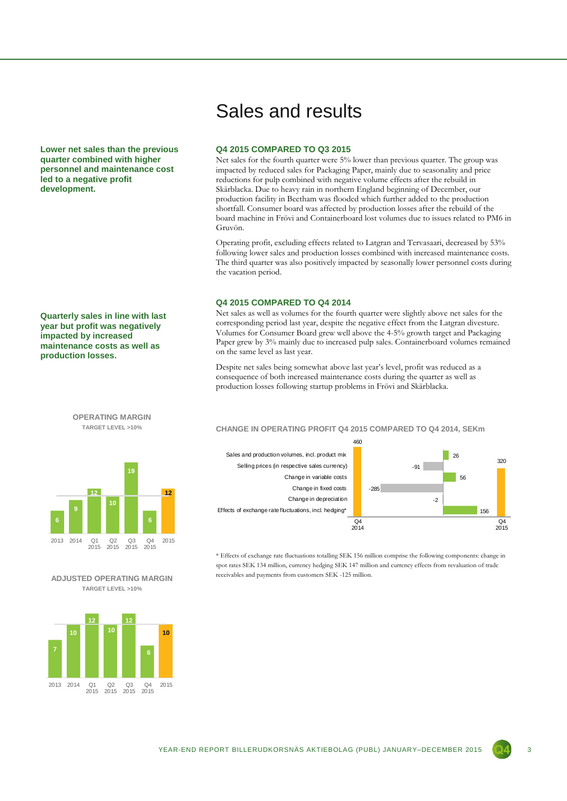**Lower net sales than the previous quarter combined with higher personnel and maintenance cost led to a negative profit development.**

**Quarterly sales in line with last year but profit was negatively impacted by increased maintenance costs as well as production losses.**

#### **OPERATING MARGIN TARGET LEVEL >10%**



#### **ADJUSTED OPERATING MARGIN TARGET LEVEL >10%**



### Sales and results

#### **Q4 2015 COMPARED TO Q3 2015**

Net sales for the fourth quarter were 5% lower than previous quarter. The group was impacted by reduced sales for Packaging Paper, mainly due to seasonality and price reductions for pulp combined with negative volume effects after the rebuild in Skärblacka. Due to heavy rain in northern England beginning of December, our production facility in Beetham was flooded which further added to the production shortfall. Consumer board was affected by production losses after the rebuild of the board machine in Frövi and Containerboard lost volumes due to issues related to PM6 in Gruvön.

Operating profit, excluding effects related to Latgran and Tervasaari, decreased by 53% following lower sales and production losses combined with increased maintenance costs. The third quarter was also positively impacted by seasonally lower personnel costs during the vacation period.

#### **Q4 2015 COMPARED TO Q4 2014**

Net sales as well as volumes for the fourth quarter were slightly above net sales for the corresponding period last year, despite the negative effect from the Latgran divesture. Volumes for Consumer Board grew well above the 4-5% growth target and Packaging Paper grew by 3% mainly due to increased pulp sales. Containerboard volumes remained on the same level as last year.

Despite net sales being somewhat above last year's level, profit was reduced as a consequence of both increased maintenance costs during the quarter as well as production losses following startup problems in Frövi and Skärblacka.

#### **CHANGE IN OPERATING PROFIT Q4 2015 COMPARED TO Q4 2014, SEKm**





\* Effects of exchange rate fluctuations totalling SEK 156 million comprise the following components: change in spot rates SEK 134 million, currency hedging SEK 147 million and currency effects from revaluation of trade receivables and payments from customers SEK -125 million.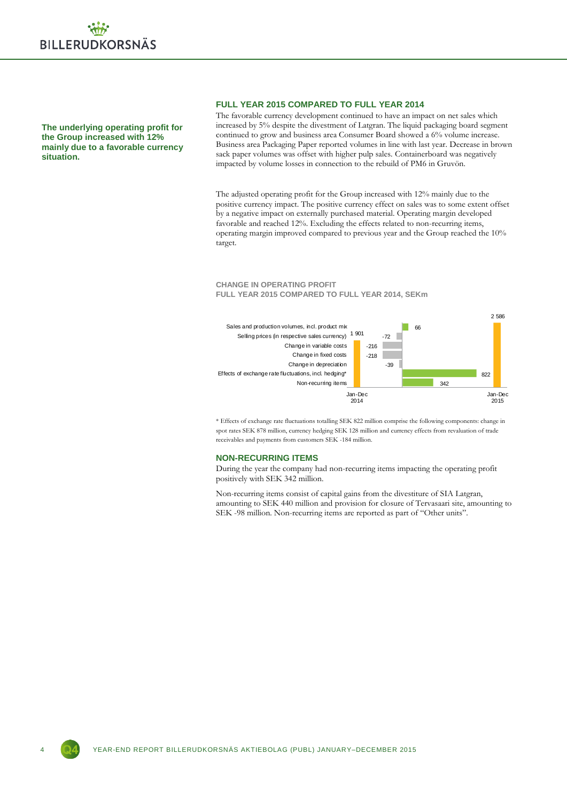

**The underlying operating profit for the Group increased with 12% mainly due to a favorable currency situation.**

#### **FULL YEAR 2015 COMPARED TO FULL YEAR 2014**

The favorable currency development continued to have an impact on net sales which increased by 5% despite the divestment of Latgran. The liquid packaging board segment continued to grow and business area Consumer Board showed a 6% volume increase. Business area Packaging Paper reported volumes in line with last year. Decrease in brown sack paper volumes was offset with higher pulp sales. Containerboard was negatively impacted by volume losses in connection to the rebuild of PM6 in Gruvön.

The adjusted operating profit for the Group increased with 12% mainly due to the positive currency impact. The positive currency effect on sales was to some extent offset by a negative impact on externally purchased material. Operating margin developed favorable and reached 12%. Excluding the effects related to non-recurring items, operating margin improved compared to previous year and the Group reached the 10% target.

#### **CHANGE IN OPERATING PROFIT FULL YEAR 2015 COMPARED TO FULL YEAR 2014, SEKm**



\* Effects of exchange rate fluctuations totalling SEK 822 million comprise the following components: change in spot rates SEK 878 million, currency hedging SEK 128 million and currency effects from revaluation of trade receivables and payments from customers SEK -184 million.

#### **NON-RECURRING ITEMS**

During the year the company had non-recurring items impacting the operating profit positively with SEK 342 million.

Non-recurring items consist of capital gains from the divestiture of SIA Latgran, amounting to SEK 440 million and provision for closure of Tervasaari site, amounting to SEK -98 million. Non-recurring items are reported as part of "Other units".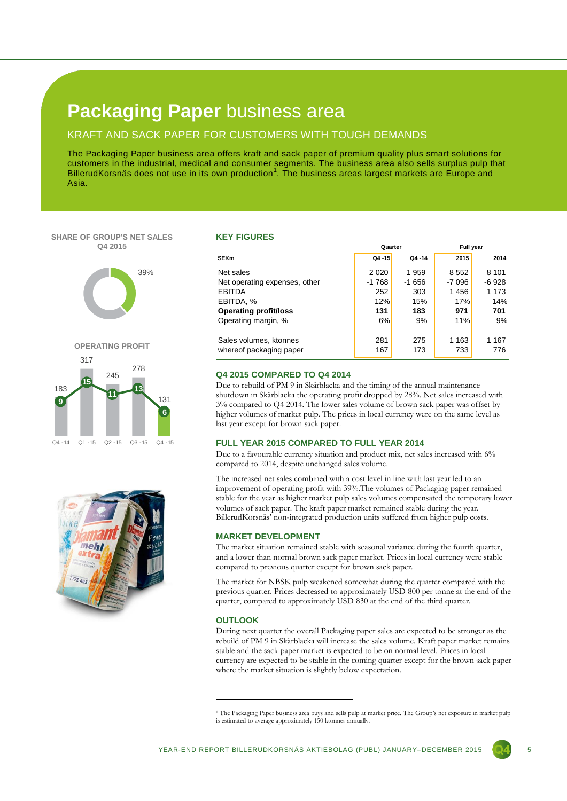### **Packaging Paper** business area

#### KRAFT AND SACK PAPER FOR CUSTOMERS WITH TOUGH DEMANDS

The Packaging Paper business area offers kraft and sack paper of premium quality plus smart solutions for customers in the industrial, medical and consumer segments. The business area also sells surplus pulp that BillerudKorsnäs does not use in its own production<sup>1</sup>. The business areas largest markets are Europe and Asia.

#### **SHARE OF GROUP'S NET SALES Q4 2015**







#### **KEY FIGURES**

|                               | Quarter |        | <b>Full year</b> |         |  |
|-------------------------------|---------|--------|------------------|---------|--|
| <b>SEKm</b>                   | Q4-15   | Q4-14  | 2015             | 2014    |  |
| Net sales                     | 2 0 2 0 | 1959   | 8 5 5 2          | 8 1 0 1 |  |
| Net operating expenses, other | $-1768$ | -1 656 | -7 096           | -6928   |  |
| <b>EBITDA</b>                 | 252     | 303    | 1456             | 1 173   |  |
| EBITDA, %                     | 12%     | 15%    | 17%              | 14%     |  |
| <b>Operating profit/loss</b>  | 131     | 183    | 971              | 701     |  |
| Operating margin, %           | 6%      | 9%     | 11%              | 9%      |  |
| Sales volumes, ktonnes        | 281     | 275    | 1 1 6 3          | 1 167   |  |
| whereof packaging paper       | 167     | 173    | 733              | 776     |  |

#### **Q4 2015 COMPARED TO Q4 2014**

Due to rebuild of PM 9 in Skärblacka and the timing of the annual maintenance shutdown in Skärblacka the operating profit dropped by 28%. Net sales increased with 3% compared to Q4 2014. The lower sales volume of brown sack paper was offset by higher volumes of market pulp. The prices in local currency were on the same level as last year except for brown sack paper.

#### **FULL YEAR 2015 COMPARED TO FULL YEAR 2014**

Due to a favourable currency situation and product mix, net sales increased with 6% compared to 2014, despite unchanged sales volume.

The increased net sales combined with a cost level in line with last year led to an improvement of operating profit with 39%.The volumes of Packaging paper remained stable for the year as higher market pulp sales volumes compensated the temporary lower volumes of sack paper. The kraft paper market remained stable during the year. BillerudKorsnäs' non-integrated production units suffered from higher pulp costs.

#### **MARKET DEVELOPMENT**

The market situation remained stable with seasonal variance during the fourth quarter, and a lower than normal brown sack paper market. Prices in local currency were stable compared to previous quarter except for brown sack paper.

The market for NBSK pulp weakened somewhat during the quarter compared with the previous quarter. Prices decreased to approximately USD 800 per tonne at the end of the quarter, compared to approximately USD 830 at the end of the third quarter.

#### **OUTLOOK**

1

During next quarter the overall Packaging paper sales are expected to be stronger as the rebuild of PM 9 in Skärblacka will increase the sales volume. Kraft paper market remains stable and the sack paper market is expected to be on normal level. Prices in local currency are expected to be stable in the coming quarter except for the brown sack paper where the market situation is slightly below expectation.

<sup>&</sup>lt;sup>1</sup> The Packaging Paper business area buys and sells pulp at market price. The Group's net exposure in market pulp is estimated to average approximately 150 ktonnes annually.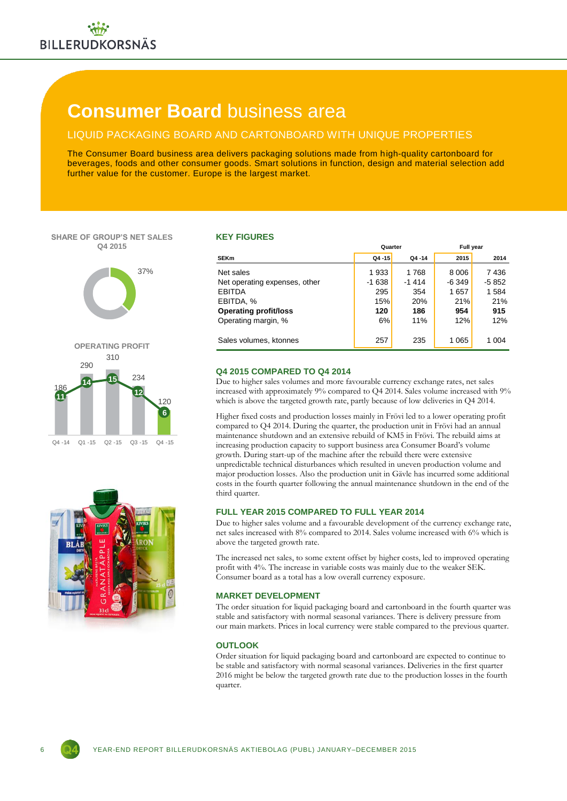### **Consumer Board** business area

### LIQUID PACKAGING BOARD AND CARTONBOARD WITH UNIQUE PROPERTIES

The Consumer Board business area delivers packaging solutions made from high-quality cartonboard for beverages, foods and other consumer goods. Smart solutions in function, design and material selection add further value for the customer. Europe is the largest market.

#### **SHARE OF GROUP'S NET SALES Q4 2015**







#### **KEY FIGURES**

|                               | Quarter |         | <b>Full year</b> |         |  |
|-------------------------------|---------|---------|------------------|---------|--|
| <b>SEKm</b>                   | Q4-15   | Q4-14   | 2015             | 2014    |  |
| Net sales                     | 1933    | 1768    | 8 0 0 6          | 7436    |  |
| Net operating expenses, other | $-1638$ | $-1414$ | -6 349           | -5 852  |  |
| <b>EBITDA</b>                 | 295     | 354     | 1657             | 1584    |  |
| EBITDA, %                     | 15%     | 20%     | 21%              | 21%     |  |
| <b>Operating profit/loss</b>  | 120     | 186     | 954              | 915     |  |
| Operating margin, %           | 6%      | 11%     | 12%              | 12%     |  |
|                               |         |         |                  |         |  |
| Sales volumes, ktonnes        | 257     | 235     | 1 065            | 1 0 0 4 |  |

#### **Q4 2015 COMPARED TO Q4 2014**

Due to higher sales volumes and more favourable currency exchange rates, net sales increased with approximately 9% compared to Q4 2014. Sales volume increased with 9% which is above the targeted growth rate, partly because of low deliveries in Q4 2014.

Higher fixed costs and production losses mainly in Frövi led to a lower operating profit compared to Q4 2014. During the quarter, the production unit in Frövi had an annual maintenance shutdown and an extensive rebuild of KM5 in Frövi. The rebuild aims at increasing production capacity to support business area Consumer Board's volume growth. During start-up of the machine after the rebuild there were extensive unpredictable technical disturbances which resulted in uneven production volume and major production losses. Also the production unit in Gävle has incurred some additional costs in the fourth quarter following the annual maintenance shutdown in the end of the third quarter.

#### **FULL YEAR 2015 COMPARED TO FULL YEAR 2014**

Due to higher sales volume and a favourable development of the currency exchange rate, net sales increased with 8% compared to 2014. Sales volume increased with 6% which is above the targeted growth rate.

The increased net sales, to some extent offset by higher costs, led to improved operating profit with 4%. The increase in variable costs was mainly due to the weaker SEK. Consumer board as a total has a low overall currency exposure.

#### **MARKET DEVELOPMENT**

The order situation for liquid packaging board and cartonboard in the fourth quarter was stable and satisfactory with normal seasonal variances. There is delivery pressure from our main markets. Prices in local currency were stable compared to the previous quarter.

#### **OUTLOOK**

Order situation for liquid packaging board and cartonboard are expected to continue to be stable and satisfactory with normal seasonal variances. Deliveries in the first quarter 2016 might be below the targeted growth rate due to the production losses in the fourth quarter.

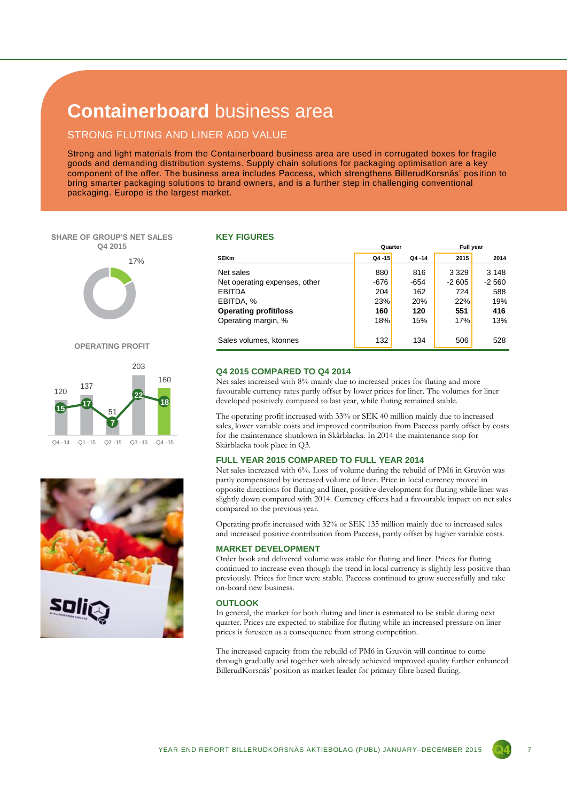### **Containerboard** business area

#### STRONG FLUTING AND LINER ADD VALUE

Strong and light materials from the Containerboard business area are used in corrugated boxes for fragile goods and demanding distribution systems. Supply chain solutions for packaging optimisation are a key component of the offer. The business area includes Paccess, which strengthens BillerudKorsnäs' pos ition to bring smarter packaging solutions to brand owners, and is a further step in challenging conventional packaging. Europe is the largest market.

#### **SHARE OF GROUP'S NET SALES Q4 2015**



**OPERATING PROFIT**





#### **KEY FIGURES**

|                               | Quarter   |           | <b>Full vear</b> |         |
|-------------------------------|-----------|-----------|------------------|---------|
| <b>SEKm</b>                   | $Q4 - 15$ | $Q4 - 14$ | 2015             | 2014    |
| Net sales                     | 880       | 816       | 3 3 2 9          | 3 1 4 8 |
| Net operating expenses, other | -676      | -654      | $-2605$          | $-2560$ |
| <b>EBITDA</b>                 | 204       | 162       | 724              | 588     |
| EBITDA, %                     | 23%       | 20%       | 22%              | 19%     |
| <b>Operating profit/loss</b>  | 160       | 120       | 551              | 416     |
| Operating margin, %           | 18%       | 15%       | 17%              | 13%     |
| Sales volumes, ktonnes        | 132       | 134       | 506              | 528     |
|                               |           |           |                  |         |

#### **Q4 2015 COMPARED TO Q4 2014**

Net sales increased with 8% mainly due to increased prices for fluting and more favourable currency rates partly offset by lower prices for liner. The volumes for liner developed positively compared to last year, while fluting remained stable.

The operating profit increased with 33% or SEK 40 million mainly due to increased sales, lower variable costs and improved contribution from Paccess partly offset by costs for the maintenance shutdown in Skärblacka. In 2014 the maintenance stop for Skärblacka took place in Q3.

#### **FULL YEAR 2015 COMPARED TO FULL YEAR 2014**

Net sales increased with 6%. Loss of volume during the rebuild of PM6 in Gruvön was partly compensated by increased volume of liner. Price in local currency moved in opposite directions for fluting and liner, positive development for fluting while liner was slightly down compared with 2014. Currency effects had a favourable impact on net sales compared to the previous year.

Operating profit increased with 32% or SEK 135 million mainly due to increased sales and increased positive contribution from Paccess, partly offset by higher variable costs.

#### **MARKET DEVELOPMENT**

Order book and delivered volume was stable for fluting and liner. Prices for fluting continued to increase even though the trend in local currency is slightly less positive than previously. Prices for liner were stable. Paccess continued to grow successfully and take on-board new business.

#### **OUTLOOK**

In general, the market for both fluting and liner is estimated to be stable during next quarter. Prices are expected to stabilize for fluting while an increased pressure on liner prices is foreseen as a consequence from strong competition.

The increased capacity from the rebuild of PM6 in Gruvön will continue to come through gradually and together with already achieved improved quality further enhanced BillerudKorsnäs' position as market leader for primary fibre based fluting.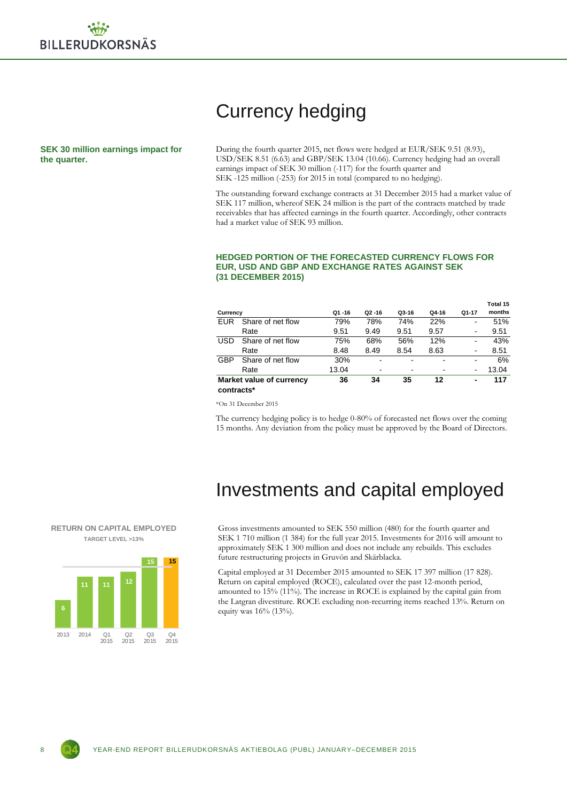## Currency hedging

**SEK 30 million earnings impact for the quarter.**

During the fourth quarter 2015, net flows were hedged at EUR/SEK 9.51 (8.93), USD/SEK 8.51 (6.63) and GBP/SEK 13.04 (10.66). Currency hedging had an overall earnings impact of SEK 30 million (-117) for the fourth quarter and SEK -125 million (-253) for 2015 in total (compared to no hedging).

The outstanding forward exchange contracts at 31 December 2015 had a market value of SEK 117 million, whereof SEK 24 million is the part of the contracts matched by trade receivables that has affected earnings in the fourth quarter. Accordingly, other contracts had a market value of SEK 93 million.

#### **Currency Q1 -16 Q2 -16 Q3-16 Q4-16 Q1-17 Total 15 months** EUR Share of net flow 79% 78% 74% 22% - 51% Rate 6 9.51 9.49 9.51 9.57 - 9.51 USD Share of net flow 75% 68% 56% 12% - 43% Rate 8.48 8.49 8.54 8.63 - 8.51 GBP Share of net flow 30% - - - - - - - - 6% Rate 13.04 - - 13.04 **Market value of currency 36 34 35 12 - 117**

### **EUR, USD AND GBP AND EXCHANGE RATES AGAINST SEK (31 DECEMBER 2015)**

**HEDGED PORTION OF THE FORECASTED CURRENCY FLOWS FOR** 

\*On 31 December 2015

**contracts\*** 

The currency hedging policy is to hedge 0-80% of forecasted net flows over the coming 15 months. Any deviation from the policy must be approved by the Board of Directors.

### Investments and capital employed

Gross investments amounted to SEK 550 million (480) for the fourth quarter and SEK 1 710 million (1 384) for the full year 2015. Investments for 2016 will amount to approximately SEK 1 300 million and does not include any rebuilds. This excludes future restructuring projects in Gruvön and Skärblacka.

Capital employed at 31 December 2015 amounted to SEK 17 397 million (17 828). Return on capital employed (ROCE), calculated over the past 12-month period, amounted to 15% (11%). The increase in ROCE is explained by the capital gain from the Latgran divestiture. ROCE excluding non-recurring items reached 13%. Return on equity was 16% (13%).



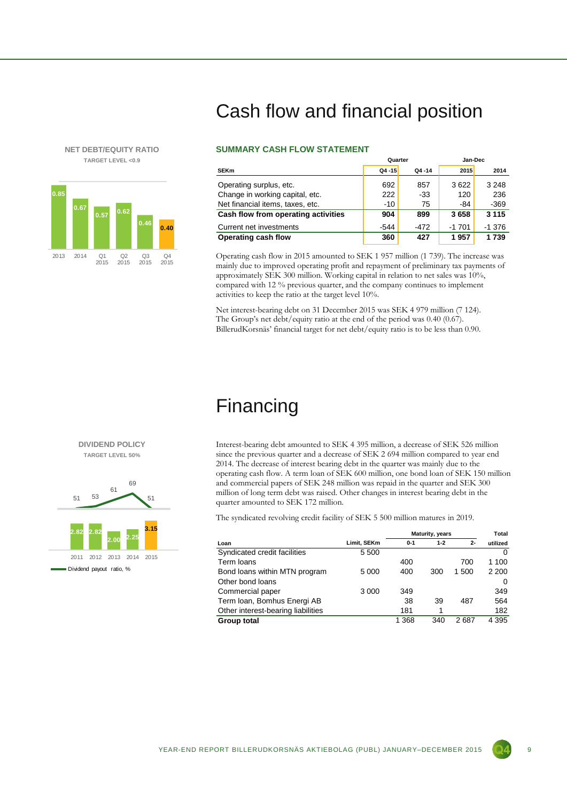#### **NET DEBT/EQUITY RATIO TARGET LEVEL <0.9**



# Cash flow and financial position

#### **SUMMARY CASH FLOW STATEMENT**

|                                     | Quarter   |           | Jan-Dec |          |  |  |
|-------------------------------------|-----------|-----------|---------|----------|--|--|
| <b>SEKm</b>                         | $Q4 - 15$ | $Q4 - 14$ | 2015    | 2014     |  |  |
| Operating surplus, etc.             | 692       | 857       | 3622    | 3 2 4 8  |  |  |
| Change in working capital, etc.     | 222       | -33       | 120     | 236      |  |  |
| Net financial items, taxes, etc.    | $-10$     | 75        | -84     | $-369$   |  |  |
| Cash flow from operating activities | 904       | 899       | 3658    | 3 1 1 5  |  |  |
| Current net investments             | $-544$    | $-472$    | $-1701$ | $-1.376$ |  |  |
| Operating cash flow                 | 360       | 427       | 1957    | 1739     |  |  |

Operating cash flow in 2015 amounted to SEK 1 957 million (1 739). The increase was mainly due to improved operating profit and repayment of preliminary tax payments of approximately SEK 300 million. Working capital in relation to net sales was 10%, compared with 12 % previous quarter, and the company continues to implement activities to keep the ratio at the target level 10%.

Net interest-bearing debt on 31 December 2015 was SEK 4 979 million (7 124). The Group's net debt/equity ratio at the end of the period was 0.40 (0.67). BillerudKorsnäs' financial target for net debt/equity ratio is to be less than 0.90.

### Financing

Interest-bearing debt amounted to SEK 4 395 million, a decrease of SEK 526 million since the previous quarter and a decrease of SEK 2 694 million compared to year end 2014. The decrease of interest bearing debt in the quarter was mainly due to the operating cash flow. A term loan of SEK 600 million, one bond loan of SEK 150 million and commercial papers of SEK 248 million was repaid in the quarter and SEK 300 million of long term debt was raised. Other changes in interest bearing debt in the quarter amounted to SEK 172 million.

The syndicated revolving credit facility of SEK 5 500 million matures in 2019.

|                                    |             | Maturity, years |         |       | Total    |
|------------------------------------|-------------|-----------------|---------|-------|----------|
| Loan                               | Limit, SEKm | $0 - 1$         | $1 - 2$ | $2-$  | utilized |
| Syndicated credit facilities       | 5 500       |                 |         |       | $\Omega$ |
| Term loans                         |             | 400             |         | 700   | 1 100    |
| Bond loans within MTN program      | 5 0 0 0     | 400             | 300     | 1 500 | 2 2 0 0  |
| Other bond loans                   |             |                 |         |       | 0        |
| Commercial paper                   | 3 0 0 0     | 349             |         |       | 349      |
| Term Ioan, Bomhus Energi AB        |             | 38              | 39      | 487   | 564      |
| Other interest-bearing liabilities |             | 181             |         |       | 182      |
| Group total                        |             | 1 3 6 8         | 340     | 2687  | 4 3 9 5  |



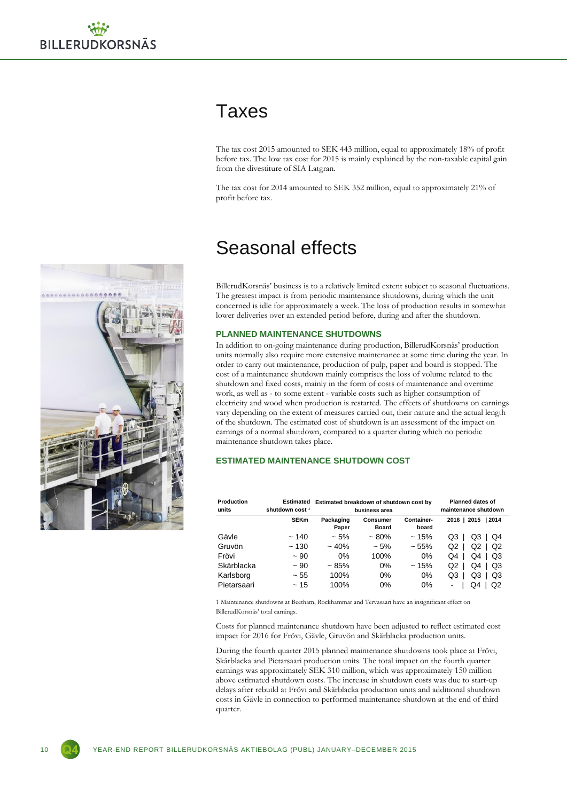### Taxes

The tax cost 2015 amounted to SEK 443 million, equal to approximately 18% of profit before tax. The low tax cost for 2015 is mainly explained by the non-taxable capital gain from the divestiture of SIA Latgran.

The tax cost for 2014 amounted to SEK 352 million, equal to approximately 21% of profit before tax.

### Seasonal effects

BillerudKorsnäs' business is to a relatively limited extent subject to seasonal fluctuations. The greatest impact is from periodic maintenance shutdowns, during which the unit concerned is idle for approximately a week. The loss of production results in somewhat lower deliveries over an extended period before, during and after the shutdown.

#### **PLANNED MAINTENANCE SHUTDOWNS**

In addition to on-going maintenance during production, BillerudKorsnäs' production units normally also require more extensive maintenance at some time during the year. In order to carry out maintenance, production of pulp, paper and board is stopped. The cost of a maintenance shutdown mainly comprises the loss of volume related to the shutdown and fixed costs, mainly in the form of costs of maintenance and overtime work, as well as - to some extent - variable costs such as higher consumption of electricity and wood when production is restarted. The effects of shutdowns on earnings vary depending on the extent of measures carried out, their nature and the actual length of the shutdown. The estimated cost of shutdown is an assessment of the impact on earnings of a normal shutdown, compared to a quarter during which no periodic maintenance shutdown takes place.

#### **ESTIMATED MAINTENANCE SHUTDOWN COST**

| Production<br>units | Estimated<br>shutdown cost <sup>1</sup> | Estimated breakdown of shutdown cost by<br>business area |                          |                     | <b>Planned dates of</b><br>maintenance shutdown |
|---------------------|-----------------------------------------|----------------------------------------------------------|--------------------------|---------------------|-------------------------------------------------|
|                     | <b>SEKm</b>                             | Packaging<br>Paper                                       | Consumer<br><b>Board</b> | Container-<br>board | 2016   2015<br>12014                            |
| Gävle               | ~140                                    | $~1.5\%$                                                 | $~1.80\%$                | ~15%                | Q3<br>Q3<br>Q4                                  |
| Gruvön              | ~130                                    | $~10\%$                                                  | $~1.5\%$                 | ~155%               | Q2<br>Q2<br>Q2                                  |
| Frövi               | ~100                                    | 0%                                                       | 100%                     | 0%                  | Q4<br>Q4<br>Q3                                  |
| Skärblacka          | ~100                                    | ~1.85%                                                   | $0\%$                    | ~15%                | Q2<br>Q3<br>Q4                                  |
| Karlsborg           | ~155                                    | 100%                                                     | 0%                       | 0%                  | Q3<br>Q3<br>Q3                                  |
| Pietarsaari         | ~15                                     | 100%                                                     | $0\%$                    | 0%                  | Q2<br>Q4<br>٠                                   |

1 Maintenance shutdowns at Beetham, Rockhammar and Tervasaari have an insignificant effect on BillerudKorsnäs' total earnings.

Costs for planned maintenance shutdown have been adjusted to reflect estimated cost impact for 2016 for Frövi, Gävle, Gruvön and Skärblacka production units.

During the fourth quarter 2015 planned maintenance shutdowns took place at Frövi, Skärblacka and Pietarsaari production units. The total impact on the fourth quarter earnings was approximately SEK 310 million, which was approximately 150 million above estimated shutdown costs. The increase in shutdown costs was due to start-up delays after rebuild at Frövi and Skärblacka production units and additional shutdown costs in Gävle in connection to performed maintenance shutdown at the end of third quarter.



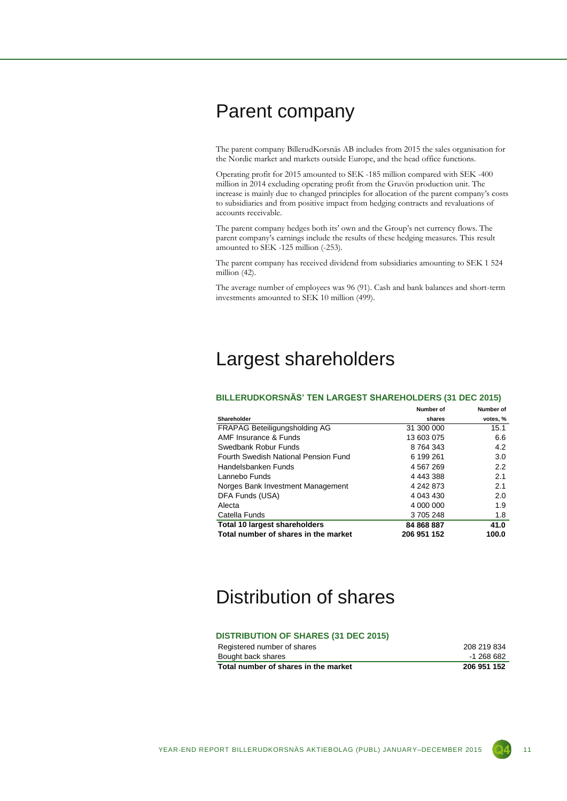### Parent company

The parent company BillerudKorsnäs AB includes from 2015 the sales organisation for the Nordic market and markets outside Europe, and the head office functions.

Operating profit for 2015 amounted to SEK -185 million compared with SEK -400 million in 2014 excluding operating profit from the Gruvön production unit. The increase is mainly due to changed principles for allocation of the parent company's costs to subsidiaries and from positive impact from hedging contracts and revaluations of accounts receivable.

The parent company hedges both its' own and the Group's net currency flows. The parent company's earnings include the results of these hedging measures. This result amounted to SEK -125 million (-253).

The parent company has received dividend from subsidiaries amounting to SEK 1 524 million (42).

The average number of employees was 96 (91). Cash and bank balances and short-term investments amounted to SEK 10 million (499).

### Largest shareholders

#### **BILLERUDKORSNÄS' TEN LARGEST SHAREHOLDERS (31 DEC 2015)**

|                                      | Number of   | Number of |
|--------------------------------------|-------------|-----------|
| Shareholder                          | shares      | votes, %  |
| FRAPAG Beteiligungsholding AG        | 31 300 000  | 15.1      |
| AMF Insurance & Funds                | 13 603 075  | 6.6       |
| Swedbank Robur Funds                 | 8 764 343   | 4.2       |
| Fourth Swedish National Pension Fund | 6 199 261   | 3.0       |
| Handelsbanken Funds                  | 4 567 269   | 2.2       |
| Lannebo Funds                        | 4 443 388   | 2.1       |
| Norges Bank Investment Management    | 4 242 873   | 2.1       |
| DFA Funds (USA)                      | 4 043 430   | 2.0       |
| Alecta                               | 4 000 000   | 1.9       |
| Catella Funds                        | 3 705 248   | 1.8       |
| <b>Total 10 largest shareholders</b> | 84 868 887  | 41.0      |
| Total number of shares in the market | 206 951 152 | 100.0     |

### Distribution of shares

#### **DISTRIBUTION OF SHARES (31 DEC 2015)**

| 206 951 152 |
|-------------|
| -1 268 682  |
| 208 219 834 |
|             |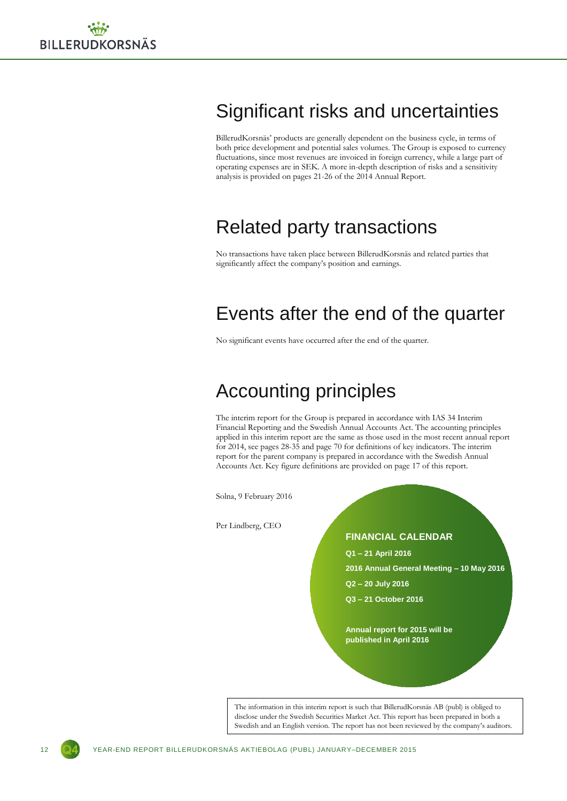# Significant risks and uncertainties

BillerudKorsnäs' products are generally dependent on the business cycle, in terms of both price development and potential sales volumes. The Group is exposed to currency fluctuations, since most revenues are invoiced in foreign currency, while a large part of operating expenses are in SEK. A more in-depth description of risks and a sensitivity analysis is provided on pages 21-26 of the 2014 Annual Report.

### Related party transactions

No transactions have taken place between BillerudKorsnäs and related parties that significantly affect the company's position and earnings.

### Events after the end of the quarter

No significant events have occurred after the end of the quarter.

### Accounting principles

The interim report for the Group is prepared in accordance with IAS 34 Interim Financial Reporting and the Swedish Annual Accounts Act. The accounting principles applied in this interim report are the same as those used in the most recent annual report for 2014, see pages 28-35 and page 70 for definitions of key indicators. The interim report for the parent company is prepared in accordance with the Swedish Annual Accounts Act. Key figure definitions are provided on page 17 of this report.

Solna, 9 February 2016

Per Lindberg, CEO

**FINANCIAL CALENDAR**

- **Q1 – 21 April 2016**
- **2016 Annual General Meeting – 10 May 2016**
- **Q2 – 20 July 2016**
- **Q3 – 21 October 2016**

**Annual report for 2015 will be published in April 2016**

The information in this interim report is such that BillerudKorsnäs AB (publ) is obliged to disclose under the Swedish Securities Market Act. This report has been prepared in both a Swedish and an English version. The report has not been reviewed by the company's auditors.

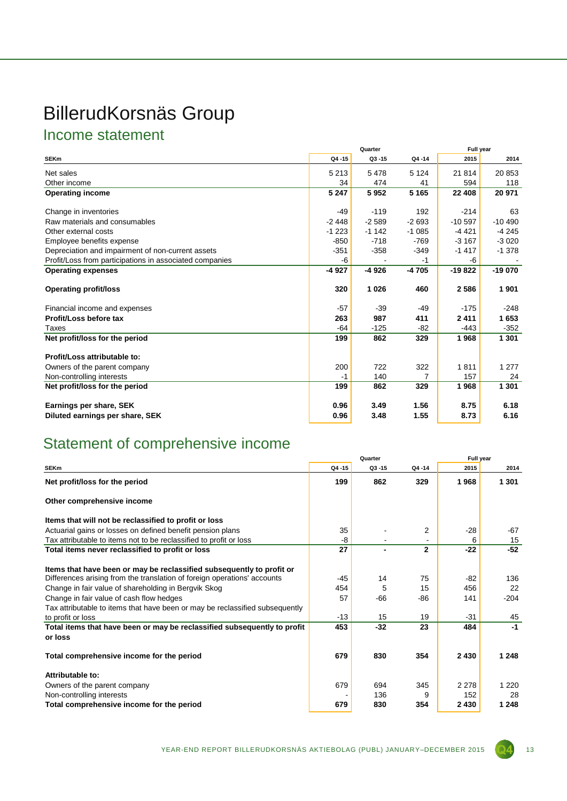# BillerudKorsnäs Group

### Income statement

|                                                         | Quarter |           |         | Full year |          |  |
|---------------------------------------------------------|---------|-----------|---------|-----------|----------|--|
| <b>SEKm</b>                                             | Q4-15   | $Q3 - 15$ | Q4-14   | 2015      | 2014     |  |
| Net sales                                               | 5 2 1 3 | 5478      | 5 1 2 4 | 21 814    | 20 853   |  |
| Other income                                            | 34      | 474       | 41      | 594       | 118      |  |
| <b>Operating income</b>                                 | 5 2 4 7 | 5952      | 5 1 6 5 | 22 408    | 20 971   |  |
| Change in inventories                                   | -49     | $-119$    | 192     | $-214$    | 63       |  |
| Raw materials and consumables                           | $-2448$ | $-2589$   | $-2693$ | $-10.597$ | $-10490$ |  |
| Other external costs                                    | $-1223$ | $-1142$   | $-1085$ | $-4421$   | $-4245$  |  |
| Employee benefits expense                               | $-850$  | $-718$    | $-769$  | $-3167$   | $-3020$  |  |
| Depreciation and impairment of non-current assets       | $-351$  | $-358$    | $-349$  | $-1417$   | $-1.378$ |  |
| Profit/Loss from participations in associated companies | -6      |           | -1      | -6        |          |  |
| <b>Operating expenses</b>                               | -4 927  | -4 926    | $-4705$ | $-19822$  | $-19070$ |  |
| <b>Operating profit/loss</b>                            | 320     | 1 0 2 6   | 460     | 2586      | 1901     |  |
| Financial income and expenses                           | $-57$   | $-39$     | $-49$   | $-175$    | $-248$   |  |
| Profit/Loss before tax                                  | 263     | 987       | 411     | 2411      | 1653     |  |
| Taxes                                                   | $-64$   | $-125$    | $-82$   | $-443$    | $-352$   |  |
| Net profit/loss for the period                          | 199     | 862       | 329     | 1968      | 1 301    |  |
| Profit/Loss attributable to:                            |         |           |         |           |          |  |
| Owners of the parent company                            | 200     | 722       | 322     | 1811      | 1 2 7 7  |  |
| Non-controlling interests                               | $-1$    | 140       | 7       | 157       | 24       |  |
| Net profit/loss for the period                          | 199     | 862       | 329     | 1968      | 1 301    |  |
| Earnings per share, SEK                                 | 0.96    | 3.49      | 1.56    | 8.75      | 6.18     |  |
| Diluted earnings per share, SEK                         | 0.96    | 3.48      | 1.55    | 8.73      | 6.16     |  |

### Statement of comprehensive income

|                                                                              | Quarter |           |              | Full year |         |
|------------------------------------------------------------------------------|---------|-----------|--------------|-----------|---------|
| <b>SEKm</b>                                                                  | Q4-15   | $Q3 - 15$ | Q4-14        | 2015      | 2014    |
| Net profit/loss for the period                                               | 199     | 862       | 329          | 1968      | 1 301   |
| Other comprehensive income                                                   |         |           |              |           |         |
| Items that will not be reclassified to profit or loss                        |         |           |              |           |         |
| Actuarial gains or losses on defined benefit pension plans                   | 35      |           | 2            | $-28$     | -67     |
| Tax attributable to items not to be reclassified to profit or loss           | -8      |           |              | 6         | 15      |
| Total items never reclassified to profit or loss                             | 27      |           | $\mathbf{2}$ | $-22$     | $-52$   |
| Items that have been or may be reclassified subsequently to profit or        |         |           |              |           |         |
| Differences arising from the translation of foreign operations' accounts     | $-45$   | 14        | 75           | -82       | 136     |
| Change in fair value of shareholding in Bergvik Skog                         | 454     | 5         | 15           | 456       | 22      |
| Change in fair value of cash flow hedges                                     | 57      | -66       | $-86$        | 141       | $-204$  |
| Tax attributable to items that have been or may be reclassified subsequently |         |           |              |           |         |
| to profit or loss                                                            | $-13$   | 15        | 19           | $-31$     | 45      |
| Total items that have been or may be reclassified subsequently to profit     | 453     | $-32$     | 23           | 484       | $-1$    |
| or loss                                                                      |         |           |              |           |         |
| Total comprehensive income for the period                                    | 679     | 830       | 354          | 2 4 3 0   | 1 2 4 8 |
| Attributable to:                                                             |         |           |              |           |         |
| Owners of the parent company                                                 | 679     | 694       | 345          | 2 2 7 8   | 1 2 2 0 |
| Non-controlling interests                                                    |         | 136       | 9            | 152       | 28      |
| Total comprehensive income for the period                                    | 679     | 830       | 354          | 2 4 3 0   | 1 2 4 8 |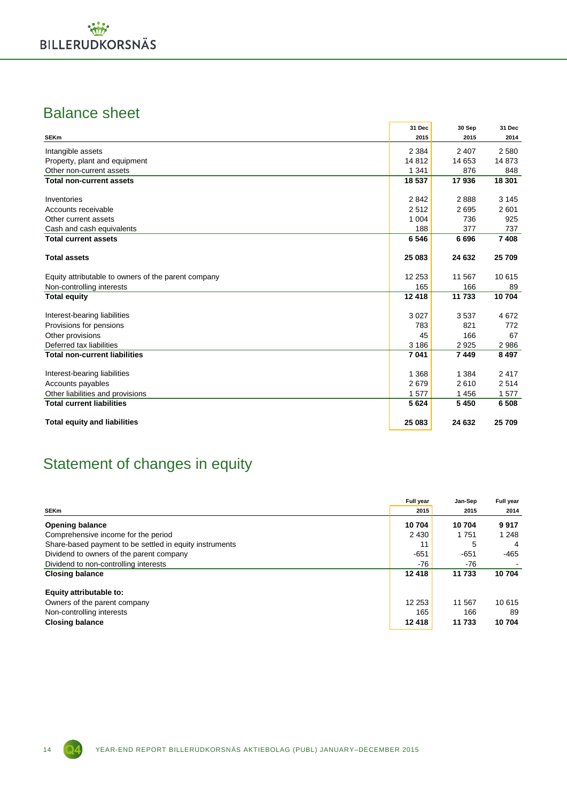### Balance sheet

|                                                     | 31 Dec   | 30 Sep  | 31 Dec  |
|-----------------------------------------------------|----------|---------|---------|
| <b>SEKm</b>                                         | 2015     | 2015    | 2014    |
| Intangible assets                                   | 2 3 8 4  | 2 4 0 7 | 2 5 8 0 |
| Property, plant and equipment                       | 14812    | 14 653  | 14 873  |
| Other non-current assets                            | 1 3 4 1  | 876     | 848     |
| <b>Total non-current assets</b>                     | 18 537   | 17936   | 18 301  |
| Inventories                                         | 2842     | 2888    | 3 1 4 5 |
| Accounts receivable                                 | 2512     | 2695    | 2601    |
| Other current assets                                | 1 0 0 4  | 736     | 925     |
| Cash and cash equivalents                           | 188      | 377     | 737     |
| <b>Total current assets</b>                         | 6546     | 6696    | 7408    |
| <b>Total assets</b>                                 | 25 083   | 24 632  | 25 709  |
| Equity attributable to owners of the parent company | 12 2 5 3 | 11 567  | 10 615  |
| Non-controlling interests                           | 165      | 166     | 89      |
| <b>Total equity</b>                                 | 12 4 18  | 11 733  | 10704   |
| Interest-bearing liabilities                        | 3027     | 3537    | 4672    |
| Provisions for pensions                             | 783      | 821     | 772     |
| Other provisions                                    | 45       | 166     | 67      |
| Deferred tax liabilities                            | 3 1 8 6  | 2925    | 2986    |
| <b>Total non-current liabilities</b>                | 7041     | 7449    | 8 4 9 7 |
| Interest-bearing liabilities                        | 1 3 6 8  | 1 3 8 4 | 2417    |
| Accounts payables                                   | 2679     | 2610    | 2514    |
| Other liabilities and provisions                    | 1577     | 1 4 5 6 | 1577    |
| <b>Total current liabilities</b>                    | 5624     | 5 4 5 0 | 6 5 0 8 |
| <b>Total equity and liabilities</b>                 | 25 083   | 24 632  | 25 709  |

### Statement of changes in equity

|                                                         | Full year | Jan-Sep | Full year |
|---------------------------------------------------------|-----------|---------|-----------|
| <b>SEKm</b>                                             | 2015      | 2015    | 2014      |
| <b>Opening balance</b>                                  | 10704     | 10704   | 9917      |
| Comprehensive income for the period                     | 2 4 3 0   | 1751    | 1 2 4 8   |
| Share-based payment to be settled in equity instruments | 11        | 5       | 4         |
| Dividend to owners of the parent company                | $-651$    | -651    | -465      |
| Dividend to non-controlling interests                   | $-76$     | -76     |           |
| <b>Closing balance</b>                                  | 12 4 18   | 11 733  | 10704     |
| Equity attributable to:                                 |           |         |           |
| Owners of the parent company                            | 12 253    | 11 567  | 10 615    |
| Non-controlling interests                               | 165       | 166     | 89        |
| <b>Closing balance</b>                                  | 12 4 18   | 11 733  | 10704     |

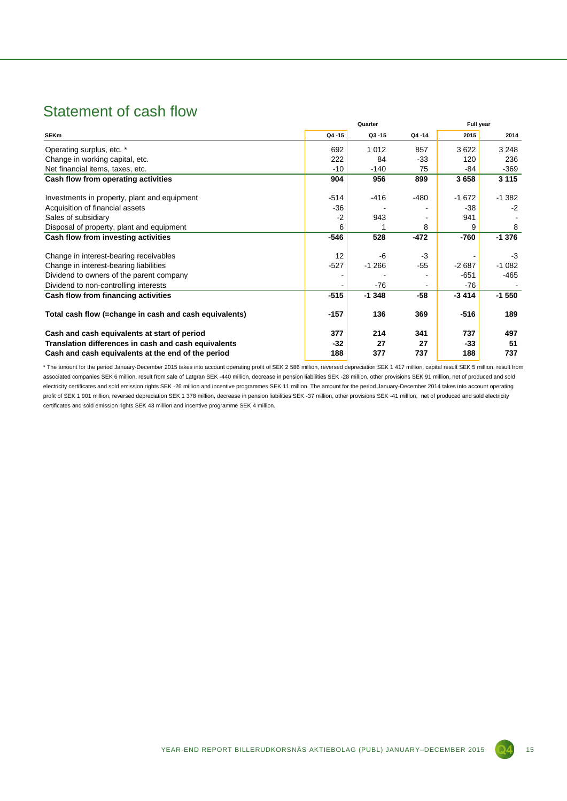### Statement of cash flow

|                                                        |        | Quarter   | Full year |         |          |
|--------------------------------------------------------|--------|-----------|-----------|---------|----------|
| <b>SEKm</b>                                            | Q4-15  | $Q3 - 15$ | Q4-14     | 2015    | 2014     |
| Operating surplus, etc. *                              | 692    | 1012      | 857       | 3622    | 3 2 4 8  |
| Change in working capital, etc.                        | 222    | 84        | $-33$     | 120     | 236      |
| Net financial items, taxes, etc.                       | -10    | $-140$    | 75        | -84     | -369     |
| Cash flow from operating activities                    | 904    | 956       | 899       | 3658    | 3 1 1 5  |
| Investments in property, plant and equipment           | $-514$ | $-416$    | -480      | $-1672$ | $-1.382$ |
| Acquisition of financial assets                        | $-36$  |           |           | $-38$   | $-2$     |
| Sales of subsidiary                                    | $-2$   | 943       |           | 941     |          |
| Disposal of property, plant and equipment              | 6      |           | 8         | 9       | 8        |
| Cash flow from investing activities                    | $-546$ | 528       | $-472$    | -760    | $-1.376$ |
| Change in interest-bearing receivables                 | 12     | -6        | $-3$      |         | -3       |
| Change in interest-bearing liabilities                 | $-527$ | $-1266$   | $-55$     | $-2687$ | $-1082$  |
| Dividend to owners of the parent company               |        |           |           | $-651$  | -465     |
| Dividend to non-controlling interests                  |        | -76       |           | $-76$   |          |
| Cash flow from financing activities                    | $-515$ | $-1348$   | $-58$     | $-3414$ | $-1550$  |
| Total cash flow (=change in cash and cash equivalents) | -157   | 136       | 369       | $-516$  | 189      |
| Cash and cash equivalents at start of period           | 377    | 214       | 341       | 737     | 497      |
| Translation differences in cash and cash equivalents   | $-32$  | 27        | 27        | -33     | 51       |
| Cash and cash equivalents at the end of the period     | 188    | 377       | 737       | 188     | 737      |

\* The amount for the period January-December 2015 takes into account operating profit of SEK 2 586 million, reversed depreciation SEK 1 417 million, capital result SEK 5 million, result from associated companies SEK 6 million, result from sale of Latgran SEK -440 million, decrease in pension liabilities SEK -28 million, other provisions SEK 91 million, net of produced and sold electricity certificates and sold emission rights SEK -26 million and incentive programmes SEK 11 million. The amount for the period January-December 2014 takes into account operating profit of SEK 1 901 million, reversed depreciation SEK 1 378 million, decrease in pension liabilities SEK -37 million, other provisions SEK -41 million, net of produced and sold electricity certificates and sold emission rights SEK 43 million and incentive programme SEK 4 million.

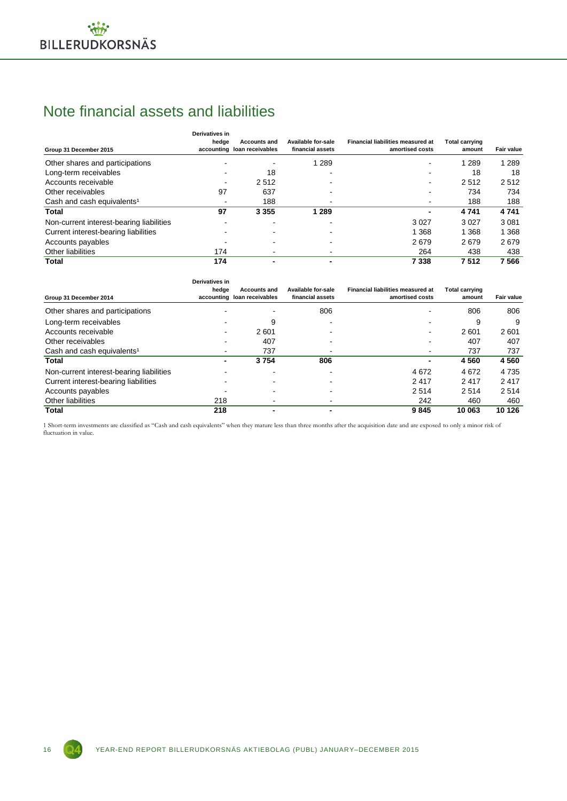### Note financial assets and liabilities

| Group 31 December 2015                   | Derivatives in<br>hedge  | <b>Accounts and</b><br>accounting loan receivables | Available for-sale<br>financial assets | <b>Financial liabilities measured at</b><br>amortised costs | <b>Total carrying</b><br>amount | Fair value |
|------------------------------------------|--------------------------|----------------------------------------------------|----------------------------------------|-------------------------------------------------------------|---------------------------------|------------|
| Other shares and participations          |                          |                                                    | 1 2 8 9                                |                                                             | 1 2 8 9                         | 1 2 8 9    |
| Long-term receivables                    |                          | 18                                                 |                                        |                                                             | 18                              | 18         |
| Accounts receivable                      | $\overline{\phantom{a}}$ | 2512                                               |                                        | $\overline{\phantom{a}}$                                    | 2512                            | 2512       |
| Other receivables                        | 97                       | 637                                                |                                        | -                                                           | 734                             | 734        |
| Cash and cash equivalents <sup>1</sup>   |                          | 188                                                |                                        |                                                             | 188                             | 188        |
| Total                                    | 97                       | 3 3 5 5                                            | 1 2 8 9                                |                                                             | 4741                            | 4741       |
| Non-current interest-bearing liabilities |                          |                                                    |                                        | 3 0 2 7                                                     | 3 0 2 7                         | 3 0 8 1    |
| Current interest-bearing liabilities     |                          |                                                    |                                        | 368                                                         | 1 3 6 8                         | 1 3 6 8    |
| Accounts payables                        |                          |                                                    |                                        | 2679                                                        | 2679                            | 2679       |
| Other liabilities                        | 174                      |                                                    |                                        | 264                                                         | 438                             | 438        |
| <b>Total</b>                             | 174                      |                                                    |                                        | 7 3 3 8                                                     | 7512                            | 7566       |

| Group 31 December 2014                   | Derivatives in<br>hedge | <b>Accounts and</b><br>accounting loan receivables | Available for-sale<br>financial assets | <b>Financial liabilities measured at</b><br>amortised costs | <b>Total carrying</b><br>amount | Fair value |
|------------------------------------------|-------------------------|----------------------------------------------------|----------------------------------------|-------------------------------------------------------------|---------------------------------|------------|
| Other shares and participations          |                         |                                                    | 806                                    |                                                             | 806                             | 806        |
| Long-term receivables                    |                         | 9                                                  |                                        |                                                             | 9                               | 9          |
| Accounts receivable                      | $\blacksquare$          | 2601                                               |                                        |                                                             | 2601                            | 2601       |
| Other receivables                        |                         | 407                                                |                                        |                                                             | 407                             | 407        |
| Cash and cash equivalents <sup>1</sup>   |                         | 737                                                |                                        |                                                             | 737                             | 737        |
| Total                                    | -                       | 3754                                               | 806                                    | $\overline{\phantom{0}}$                                    | 4560                            | 4560       |
| Non-current interest-bearing liabilities |                         |                                                    |                                        | 4672                                                        | 4672                            | 4 7 3 5    |
| Current interest-bearing liabilities     |                         |                                                    |                                        | 2417                                                        | 2417                            | 2417       |
| Accounts payables                        |                         |                                                    |                                        | 2514                                                        | 2514                            | 2514       |
| Other liabilities                        | 218                     |                                                    |                                        | 242                                                         | 460                             | 460        |
| Total                                    | 218                     |                                                    |                                        | 9845                                                        | 10 063                          | 10 126     |

1 Short-term investments are classified as "Cash and cash equivalents" when they mature less than three months after the acquisition date and are exposed to only a minor risk of fluctuation in value.

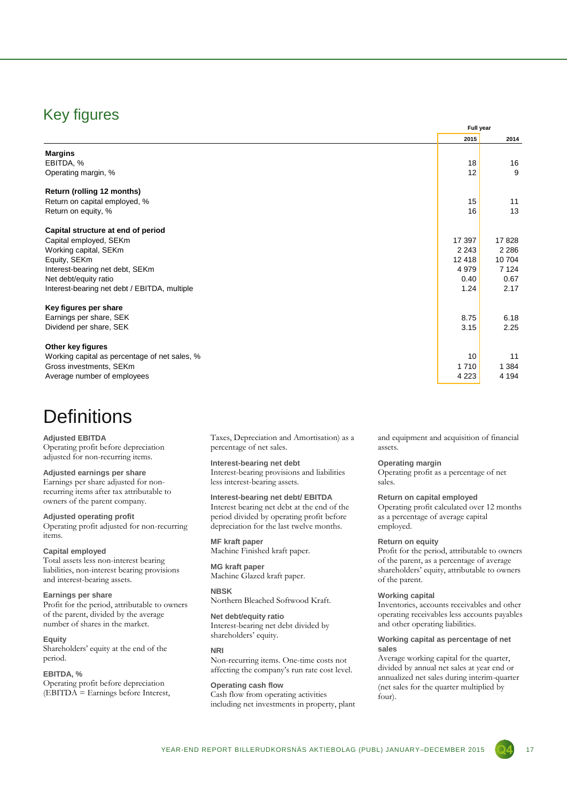### Key figures

|                                               | Full year |         |  |  |  |
|-----------------------------------------------|-----------|---------|--|--|--|
|                                               | 2015      | 2014    |  |  |  |
| <b>Margins</b>                                |           |         |  |  |  |
| EBITDA, %                                     | 18        | 16      |  |  |  |
| Operating margin, %                           | 12        | 9       |  |  |  |
| Return (rolling 12 months)                    |           |         |  |  |  |
| Return on capital employed, %                 | 15        | 11      |  |  |  |
| Return on equity, %                           | 16        | 13      |  |  |  |
| Capital structure at end of period            |           |         |  |  |  |
| Capital employed, SEKm                        | 17 397    | 17828   |  |  |  |
| Working capital, SEKm                         | 2 2 4 3   | 2 2 8 6 |  |  |  |
| Equity, SEKm                                  | 12418     | 10704   |  |  |  |
| Interest-bearing net debt, SEKm               | 4979      | 7 1 2 4 |  |  |  |
| Net debt/equity ratio                         | 0.40      | 0.67    |  |  |  |
| Interest-bearing net debt / EBITDA, multiple  | 1.24      | 2.17    |  |  |  |
| Key figures per share                         |           |         |  |  |  |
| Earnings per share, SEK                       | 8.75      | 6.18    |  |  |  |
| Dividend per share, SEK                       | 3.15      | 2.25    |  |  |  |
| Other key figures                             |           |         |  |  |  |
| Working capital as percentage of net sales, % | 10        | 11      |  |  |  |
| Gross investments, SEKm                       | 1710      | 1 3 8 4 |  |  |  |
| Average number of employees                   | 4 2 2 3   | 4 1 9 4 |  |  |  |

### **Definitions**

#### **Adjusted EBITDA**

Operating profit before depreciation adjusted for non-recurring items.

**Adjusted earnings per share** Earnings per share adjusted for nonrecurring items after tax attributable to owners of the parent company.

#### **Adjusted operating profit**

Operating profit adjusted for non-recurring items.

#### **Capital employed**

Total assets less non-interest bearing liabilities, non-interest bearing provisions and interest-bearing assets.

#### **Earnings per share**

Profit for the period, attributable to owners of the parent, divided by the average number of shares in the market.

#### **Equity**

Shareholders' equity at the end of the period.

#### **EBITDA, %**

Operating profit before depreciation  $E$ BITDA = Earnings before Interest, Taxes, Depreciation and Amortisation) as a percentage of net sales.

#### **Interest-bearing net debt**

Interest-bearing provisions and liabilities less interest-bearing assets.

**Interest-bearing net debt/ EBITDA** Interest bearing net debt at the end of the period divided by operating profit before

depreciation for the last twelve months. **MF kraft paper**

Machine Finished kraft paper.

#### **MG kraft paper** Machine Glazed kraft paper.

**NBSK** Northern Bleached Softwood Kraft.

#### **Net debt/equity ratio**

Interest-bearing net debt divided by shareholders' equity.

#### **NRI**

Non-recurring items. One-time costs not affecting the company's run rate cost level.

**Operating cash flow** Cash flow from operating activities including net investments in property, plant and equipment and acquisition of financial assets.

#### **Operating margin**

Operating profit as a percentage of net sales.

#### **Return on capital employed**

Operating profit calculated over 12 months as a percentage of average capital employed.

#### **Return on equity**

Profit for the period, attributable to owners of the parent, as a percentage of average shareholders' equity, attributable to owners of the parent.

#### **Working capital**

Inventories, accounts receivables and other operating receivables less accounts payables and other operating liabilities.

#### **Working capital as percentage of net sales**

Average working capital for the quarter, divided by annual net sales at year end or annualized net sales during interim-quarter (net sales for the quarter multiplied by four).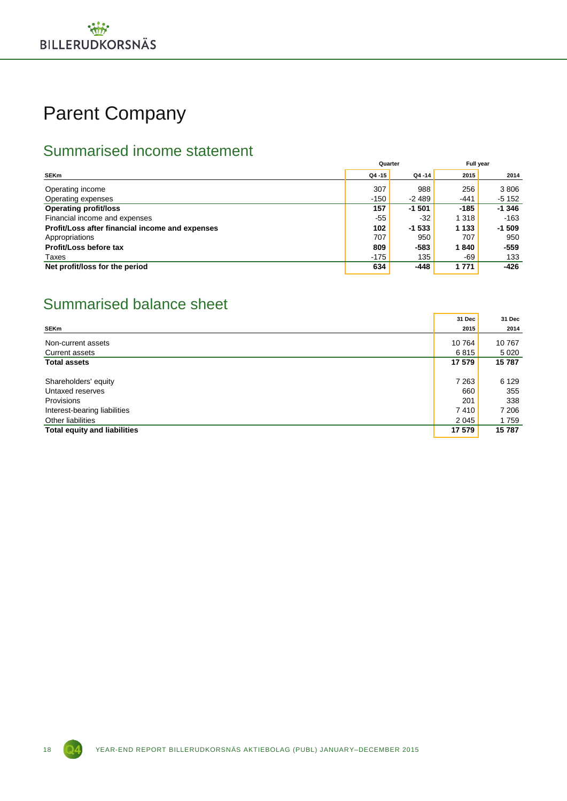# Parent Company

### Summarised income statement

|                                                 | Quarter |           | <b>Full vear</b> |         |  |
|-------------------------------------------------|---------|-----------|------------------|---------|--|
| <b>SEKm</b>                                     | Q4 -15  | $Q4 - 14$ | 2015             | 2014    |  |
| Operating income                                | 307     | 988       | 256              | 3806    |  |
| Operating expenses                              | $-150$  | $-2489$   | $-441$           | $-5152$ |  |
| <b>Operating profit/loss</b>                    | 157     | $-1501$   | $-185$           | $-1346$ |  |
| Financial income and expenses                   | $-55$   | -32       | 1 3 1 8          | $-163$  |  |
| Profit/Loss after financial income and expenses | 102     | $-1533$   | 1 1 3 3          | $-1509$ |  |
| Appropriations                                  | 707     | 950       | 707              | 950     |  |
| Profit/Loss before tax                          | 809     | $-583$    | 1840             | $-559$  |  |
| Taxes                                           | $-175$  | 135       | $-69$            | 133     |  |
| Net profit/loss for the period                  | 634     | $-448$    | 1 7 7 1          | $-426$  |  |

### Summarised balance sheet

|                                     | 31 Dec  | 31 Dec  |
|-------------------------------------|---------|---------|
| <b>SEKm</b>                         | 2015    | 2014    |
| Non-current assets                  | 10 764  | 10767   |
| <b>Current assets</b>               | 6815    | 5 0 2 0 |
| <b>Total assets</b>                 | 17 579  | 15787   |
|                                     |         |         |
| Shareholders' equity                | 7 2 6 3 | 6 1 2 9 |
| Untaxed reserves                    | 660     | 355     |
| Provisions                          | 201     | 338     |
| Interest-bearing liabilities        | 7410    | 7 206   |
| Other liabilities                   | 2 0 4 5 | 1759    |
| <b>Total equity and liabilities</b> | 17 579  | 15787   |

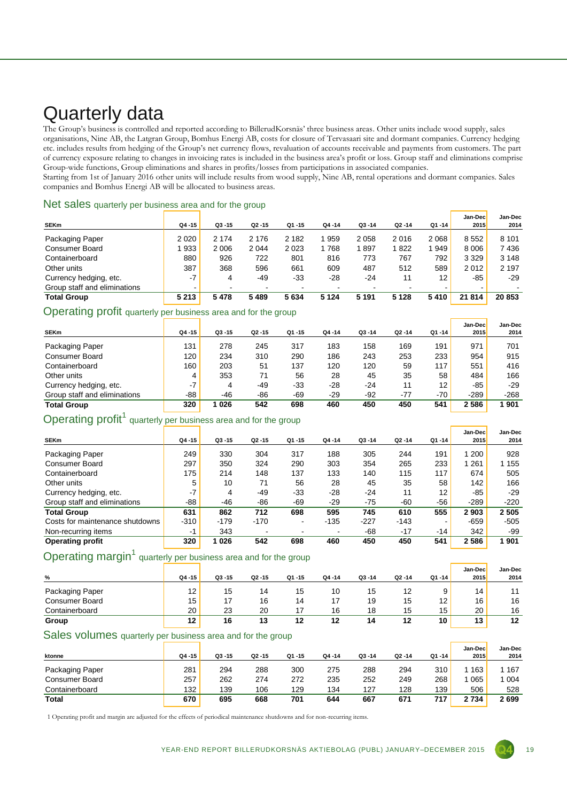# Quarterly data

The Group's business is controlled and reported according to BillerudKorsnäs' three business areas. Other units include wood supply, sales organisations, Nine AB, the Latgran Group, Bomhus Energi AB, costs for closure of Tervasaari site and dormant companies. Currency hedging etc. includes results from hedging of the Group's net currency flows, revaluation of accounts receivable and payments from customers. The part of currency exposure relating to changes in invoicing rates is included in the business area's profit or loss. Group staff and eliminations comprise Group-wide functions, Group eliminations and shares in profits/losses from participations in associated companies.

Starting from 1st of January 2016 other units will include results from wood supply, Nine AB, rental operations and dormant companies. Sales companies and Bomhus Energi AB will be allocated to business areas.

|  | Net sales quarterly per business area and for the group |  |  |  |
|--|---------------------------------------------------------|--|--|--|
|  |                                                         |  |  |  |

| <b>SEKm</b>                  | Q4 -15  | $Q3 - 15$ | $Q2 - 15$ | Q1-15          | $Q4 - 14$ | $Q3 - 14$ | $Q2 - 14$ | Q1 -14  | Jan-Dec<br><b>2015</b> | Jan-Dec<br>2014 |
|------------------------------|---------|-----------|-----------|----------------|-----------|-----------|-----------|---------|------------------------|-----------------|
| Packaging Paper              | 2 0 2 0 | 2 1 7 4   | 2 1 7 6   | 2 1 8 2        | 959       | 2058      | 2016      | 2 0 6 8 | 8552                   | 8 1 0 1         |
| <b>Consumer Board</b>        | 933     | 2006      | 2 0 4 4   | 2023           | 768       | 897       | 1822      | 949     | 8 0 0 6                | 7436            |
| Containerboard               | 880     | 926       | 722       | 801            | 816       | 773       | 767       | 792     | 3 3 2 9                | 3 1 4 8         |
| Other units                  | 387     | 368       | 596       | 661            | 609       | 487       | 512       | 589     | 2012                   | 2 1 9 7         |
| Currency hedging, etc.       | $-7$    | 4         | -49       | $-33$          | $-28$     | -24       | 11        | 12      | -85                    | $-29$           |
| Group staff and eliminations |         | -         |           | $\blacksquare$ |           |           | -         |         | $\blacksquare$         |                 |
| <b>Total Group</b>           | 5 2 1 3 | 5478      | 5489      | 5634           | 5 1 2 4   | 5 1 9 1   | 5 1 2 8   | 5410    | 21 814                 | 20 853          |

#### Operating profit quarterly per business area and for the group

| <b>SEKm</b>                  | Q4 - 15 | $Q3 - 15$ | $Q2 - 15$ | Q1 -15 | Q4 -14 | $Q3 - 14$ | $Q2 - 14$ | Q1-14             | Jan-Dec<br><b>2015</b> | Jan-Dec<br>2014 |
|------------------------------|---------|-----------|-----------|--------|--------|-----------|-----------|-------------------|------------------------|-----------------|
| Packaging Paper              | 131     | 278       | 245       | 317    | 183    | 158       | 169       | 191               | 971                    | 701             |
| Consumer Board               | 120     | 234       | 310       | 290    | 186    | 243       | 253       | 233               | 954                    | 915             |
| Containerboard               | 160     | 203       | 51        | 137    | 120    | 120       | 59        | 117               | 551                    | 416             |
| Other units                  | 4       | 353       | 71        | 56     | 28     | 45        | 35        | 58                | 484                    | 166             |
| Currency hedging, etc.       | $-7$    | 4         | -49       | $-33$  | $-28$  | $-24$     | 11        | $12 \overline{ }$ | -85                    | $-29$           |
| Group staff and eliminations | -88     | $-46$     | -86       | $-69$  | $-29$  | $-92$     | $-77$     | -70               | $-289$                 | $-268$          |
| <b>Total Group</b>           | 320     | 026       | 542       | 698    | 460    | 450       | 450       | 541               | 2586                   | 901             |

### Operating profit<sup>1</sup> quarterly per business area and for the group

| <b>SEKm</b>                     | $Q4 - 15$ | $Q3 - 15$ | $Q2 - 15$ | $Q1 - 15$      | $Q4 - 14$ | $Q3 - 14$ | $Q2 - 14$ | Q1-14 | Jan-Dec<br><b>2015</b> | Jan-Dec<br>2014 |
|---------------------------------|-----------|-----------|-----------|----------------|-----------|-----------|-----------|-------|------------------------|-----------------|
| Packaging Paper                 | 249       | 330       | 304       | 317            | 188       | 305       | 244       | 191   | 1 200                  | 928             |
| Consumer Board                  | 297       | 350       | 324       | 290            | 303       | 354       | 265       | 233   | 1 261                  | 1 1 5 5         |
| Containerboard                  | 175       | 214       | 148       | 137            | 133       | 140       | 115       | 117   | 674                    | 505             |
| Other units                     | 5         | 10        | 71        | 56             | 28        | 45        | 35        | 58    | 142                    | 166             |
| Currency hedging, etc.          | $-7$      | 4         | -49       | $-33$          | $-28$     | -24       | 11        | 12    | -85                    | $-29$           |
| Group staff and eliminations    | -88       | $-46$     | -86       | $-69$          | $-29$     | $-75$     | $-60$     | $-56$ | $-289$                 | $-220$          |
| <b>Total Group</b>              | 631       | 862       | 712       | 698            | 595       | 745       | 610       | 555   | 2903                   | 2 5 0 5         |
| Costs for maintenance shutdowns | $-310$    | $-179$    | $-170$    | ٠              | $-135$    | $-227$    | $-143$    |       | $-659$                 | $-505$          |
| Non-recurring items             | -1        | 343       |           | $\blacksquare$ | ۰         | $-68$     | $-17$     | $-14$ | 342                    | -99             |
| <b>Operating profit</b>         | 320       | 1026      | 542       | 698            | 460       | 450       | 450       | 541   | 2586                   | 1901            |

### Operating margin<sup>1</sup> quarterly per business area and for the group

|                       |         |           |           |           |           |           |           |           | Jan-Dec | Jan-Dec |
|-----------------------|---------|-----------|-----------|-----------|-----------|-----------|-----------|-----------|---------|---------|
| %                     | Q4 - 15 | $Q3 - 15$ | $Q2 - 15$ | $Q1 - 15$ | $Q4 - 14$ | $Q3 - 14$ | $Q2 - 14$ | $Q1 - 14$ | 2015    | 2014    |
| Packaging Paper       | 12      | 15        | 14        | 15        | 10        | 15        |           |           | 14      | 11      |
| <b>Consumer Board</b> | 15      |           | 16        | 14        |           | 19        | 15        | 12        | 16      | 16      |
| Containerboard        | 20      | 23        | 20        |           | 16        | 18        | 15        | 15        | 20      | 16      |
| Group                 | 12      | 16        | 13        | 12        | 12        | 14        | 12        | 10        | 13      | 12      |

#### Sales volumes quarterly per business area and for the group

|                       |         |           |           |           |           |           |           |       | Jan-Dec | Jan-Dec |
|-----------------------|---------|-----------|-----------|-----------|-----------|-----------|-----------|-------|---------|---------|
| ktonne                | Q4 - 15 | $Q3 - 15$ | $Q2 - 15$ | $Q1 - 15$ | $Q4 - 14$ | $Q3 - 14$ | $Q2 - 14$ | Q1-14 | 2015    | 2014    |
| Packaging Paper       | 281     | 294       | 288       | 300       | 275       | 288       | 294       | 310   | 163     | 167     |
| <b>Consumer Board</b> | 257     | 262       | 274       | 272       | 235       | 252       | 249       | 268   | 065     | 004     |
| Containerboard        | 132     | 139       | 106       | 129       | 134       | 127       | 128       | 139   | 506     | 528     |
| <b>Total</b>          | 670     | 695       | 668       | 701       | 644       | 667       | 671       | 717   | 2734    | 2699    |

1 Operating profit and margin are adjusted for the effects of periodical maintenance shutdowns and for non-recurring items.